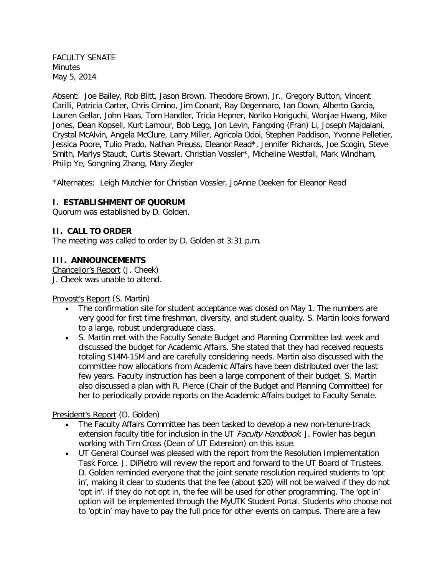FACULTY SENATE **Minutes** May 5, 2014

Absent: Joe Bailey, Rob Blitt, Jason Brown, Theodore Brown, Jr., Gregory Button, Vincent Carilli, Patricia Carter, Chris Cimino, Jim Conant, Ray Degennaro, Ian Down, Alberto Garcia, Lauren Gellar, John Haas, Tom Handler, Tricia Hepner, Noriko Horiguchi, Wonjae Hwang, Mike Jones, Dean Kopsell, Kurt Lamour, Bob Legg, Jon Levin, Fangxing (Fran) Li, Joseph Majdalani, Crystal McAlvin, Angela McClure, Larry Miller, Agricola Odoi, Stephen Paddison, Yvonne Pelletier, Jessica Poore, Tulio Prado, Nathan Preuss, Eleanor Read\*, Jennifer Richards, Joe Scogin, Steve Smith, Marlys Staudt, Curtis Stewart, Christian Vossler\*, Micheline Westfall, Mark Windham, Philip Ye, Songning Zhang, Mary Ziegler

\*Alternates: Leigh Mutchler for Christian Vossler, JoAnne Deeken for Eleanor Read

### **I. ESTABLISHMENT OF QUORUM**

Quorum was established by D. Golden.

#### **II. CALL TO ORDER**

The meeting was called to order by D. Golden at 3:31 p.m.

#### **III. ANNOUNCEMENTS**

Chancellor's Report (J. Cheek) J. Cheek was unable to attend.

#### Provost's Report (S. Martin)

- The confirmation site for student acceptance was closed on May 1. The numbers are very good for first time freshman, diversity, and student quality. S. Martin looks forward to a large, robust undergraduate class.
- S. Martin met with the Faculty Senate Budget and Planning Committee last week and discussed the budget for Academic Affairs. She stated that they had received requests totaling \$14M-15M and are carefully considering needs. Martin also discussed with the committee how allocations from Academic Affairs have been distributed over the last few years. Faculty instruction has been a large component of their budget. S. Martin also discussed a plan with R. Pierce (Chair of the Budget and Planning Committee) for her to periodically provide reports on the Academic Affairs budget to Faculty Senate.

#### President's Report (D. Golden)

- The Faculty Affairs Committee has been tasked to develop a new non-tenure-track extension faculty title for inclusion in the UT Faculty Handbook. J. Fowler has begun working with Tim Cross (Dean of UT Extension) on this issue.
- UT General Counsel was pleased with the report from the Resolution Implementation Task Force. J. DiPietro will review the report and forward to the UT Board of Trustees. D. Golden reminded everyone that the joint senate resolution required students to 'opt in', making it clear to students that the fee (about \$20) will not be waived if they do not 'opt in'. If they do not opt in, the fee will be used for other programming. The 'opt in' option will be implemented through the MyUTK Student Portal. Students who choose not to 'opt in' may have to pay the full price for other events on campus. There are a few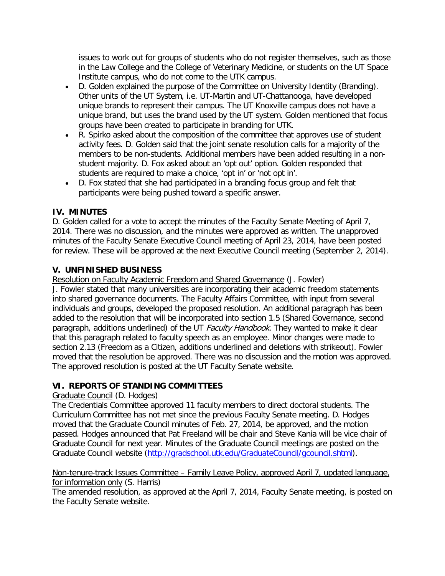issues to work out for groups of students who do not register themselves, such as those in the Law College and the College of Veterinary Medicine, or students on the UT Space Institute campus, who do not come to the UTK campus.

- D. Golden explained the purpose of the Committee on University Identity (Branding). Other units of the UT System, i.e. UT-Martin and UT-Chattanooga, have developed unique brands to represent their campus. The UT Knoxville campus does not have a unique brand, but uses the brand used by the UT system. Golden mentioned that focus groups have been created to participate in branding for UTK.
- R. Spirko asked about the composition of the committee that approves use of student activity fees. D. Golden said that the joint senate resolution calls for a majority of the members to be non-students. Additional members have been added resulting in a nonstudent majority. D. Fox asked about an 'opt out' option. Golden responded that students are required to make a choice, 'opt in' or 'not opt in'.
- D. Fox stated that she had participated in a branding focus group and felt that participants were being pushed toward a specific answer.

# **IV. MINUTES**

D. Golden called for a vote to accept the minutes of the Faculty Senate Meeting of April 7, 2014. There was no discussion, and the minutes were approved as written. The unapproved minutes of the Faculty Senate Executive Council meeting of April 23, 2014, have been posted for review. These will be approved at the next Executive Council meeting (September 2, 2014).

# **V. UNFINISHED BUSINESS**

Resolution on Faculty Academic Freedom and Shared Governance (J. Fowler)

J. Fowler stated that many universities are incorporating their academic freedom statements into shared governance documents. The Faculty Affairs Committee, with input from several individuals and groups, developed the proposed resolution. An additional paragraph has been added to the resolution that will be incorporated into section 1.5 (Shared Governance, second paragraph, additions underlined) of the UT Faculty Handbook. They wanted to make it clear that this paragraph related to faculty speech as an employee. Minor changes were made to section 2.13 (Freedom as a Citizen, additions underlined and deletions with strikeout). Fowler moved that the resolution be approved. There was no discussion and the motion was approved. The approved resolution is posted at the UT Faculty Senate website.

# **VI. REPORTS OF STANDING COMMITTEES**

# Graduate Council (D. Hodges)

The Credentials Committee approved 11 faculty members to direct doctoral students. The Curriculum Committee has not met since the previous Faculty Senate meeting. D. Hodges moved that the Graduate Council minutes of Feb. 27, 2014, be approved, and the motion passed. Hodges announced that Pat Freeland will be chair and Steve Kania will be vice chair of Graduate Council for next year. Minutes of the Graduate Council meetings are posted on the Graduate Council website [\(http://gradschool.utk.edu/GraduateCouncil/gcouncil.shtml\)](http://gradschool.utk.edu/GraduateCouncil/gcouncil.shtml).

#### Non-tenure-track Issues Committee – Family Leave Policy, approved April 7, updated language, for information only (S. Harris)

The amended resolution, as approved at the April 7, 2014, Faculty Senate meeting, is posted on the Faculty Senate website.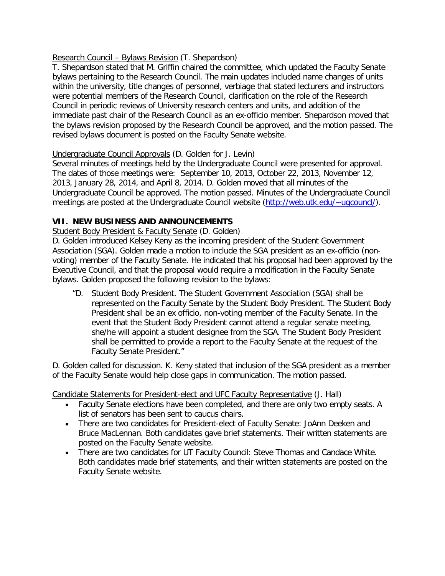### Research Council – Bylaws Revision (T. Shepardson)

T. Shepardson stated that M. Griffin chaired the committee, which updated the Faculty Senate bylaws pertaining to the Research Council. The main updates included name changes of units within the university, title changes of personnel, verbiage that stated lecturers and instructors were potential members of the Research Council, clarification on the role of the Research Council in periodic reviews of University research centers and units, and addition of the immediate past chair of the Research Council as an ex-officio member. Shepardson moved that the bylaws revision proposed by the Research Council be approved, and the motion passed. The revised bylaws document is posted on the Faculty Senate website.

## Undergraduate Council Approvals (D. Golden for J. Levin)

Several minutes of meetings held by the Undergraduate Council were presented for approval. The dates of those meetings were: September 10, 2013, October 22, 2013, November 12, 2013, January 28, 2014, and April 8, 2014. D. Golden moved that all minutes of the Undergraduate Council be approved. The motion passed. Minutes of the Undergraduate Council meetings are posted at the Undergraduate Council website [\(http://web.utk.edu/~ugcouncl/\)](http://web.utk.edu/%7Eugcouncl/).

# **VII. NEW BUSINESS AND ANNOUNCEMENTS**

### Student Body President & Faculty Senate (D. Golden)

D. Golden introduced Kelsey Keny as the incoming president of the Student Government Association (SGA). Golden made a motion to include the SGA president as an ex-officio (nonvoting) member of the Faculty Senate. He indicated that his proposal had been approved by the Executive Council, and that the proposal would require a modification in the Faculty Senate bylaws. Golden proposed the following revision to the bylaws:

"D. Student Body President. The Student Government Association (SGA) shall be represented on the Faculty Senate by the Student Body President. The Student Body President shall be an ex officio, non-voting member of the Faculty Senate. In the event that the Student Body President cannot attend a regular senate meeting, she/he will appoint a student designee from the SGA. The Student Body President shall be permitted to provide a report to the Faculty Senate at the request of the Faculty Senate President."

D. Golden called for discussion. K. Keny stated that inclusion of the SGA president as a member of the Faculty Senate would help close gaps in communication. The motion passed.

Candidate Statements for President-elect and UFC Faculty Representative (J. Hall)

- Faculty Senate elections have been completed, and there are only two empty seats. A list of senators has been sent to caucus chairs.
- There are two candidates for President-elect of Faculty Senate: JoAnn Deeken and Bruce MacLennan. Both candidates gave brief statements. Their written statements are posted on the Faculty Senate website.
- There are two candidates for UT Faculty Council: Steve Thomas and Candace White. Both candidates made brief statements, and their written statements are posted on the Faculty Senate website.